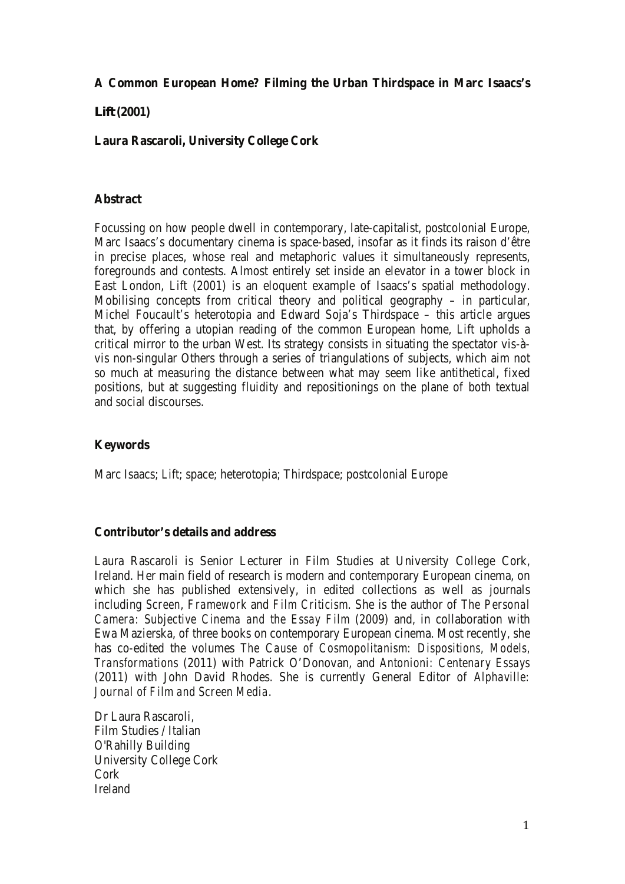# **A Common European Home? Filming the Urban Thirdspace in Marc Isaacs's**

## *Lift* **(2001)**

# **Laura Rascaroli, University College Cork**

### **Abstract**

Focussing on how people dwell in contemporary, late-capitalist, postcolonial Europe, Marc Isaacs's documentary cinema is space-based, insofar as it finds its raison d'être in precise places, whose real and metaphoric values it simultaneously represents, foregrounds and contests. Almost entirely set inside an elevator in a tower block in East London, *Lift* (2001) is an eloquent example of Isaacs's spatial methodology. Mobilising concepts from critical theory and political geography – in particular, Michel Foucault's heterotopia and Edward Soja's Thirdspace – this article argues that, by offering a utopian reading of the common European home, *Lift* upholds a critical mirror to the urban West. Its strategy consists in situating the spectator vis-àvis non-singular Others through a series of triangulations of subjects, which aim not so much at measuring the distance between what may seem like antithetical, fixed positions, but at suggesting fluidity and repositionings on the plane of both textual and social discourses.

## **Keywords**

Marc Isaacs; *Lift*; space; heterotopia; Thirdspace; postcolonial Europe

## **Contributor's details and address**

Laura Rascaroli is Senior Lecturer in Film Studies at University College Cork, Ireland. Her main field of research is modern and contemporary European cinema, on which she has published extensively, in edited collections as well as journals including *Screen*, *Framework* and *Film Criticism*. She is the author of *The Personal Camera: Subjective Cinema and the Essay Film* (2009) and, in collaboration with Ewa Mazierska, of three books on contemporary European cinema. Most recently, she has co-edited the volumes *The Cause of Cosmopolitanism: Dispositions, Models, Transformations* (2011) with Patrick O'Donovan, and *Antonioni: Centenary Essays* (2011) with John David Rhodes. She is currently General Editor of *Alphaville: Journal of Film and Screen Media*.

Dr Laura Rascaroli, Film Studies / Italian O'Rahilly Building University College Cork Cork Ireland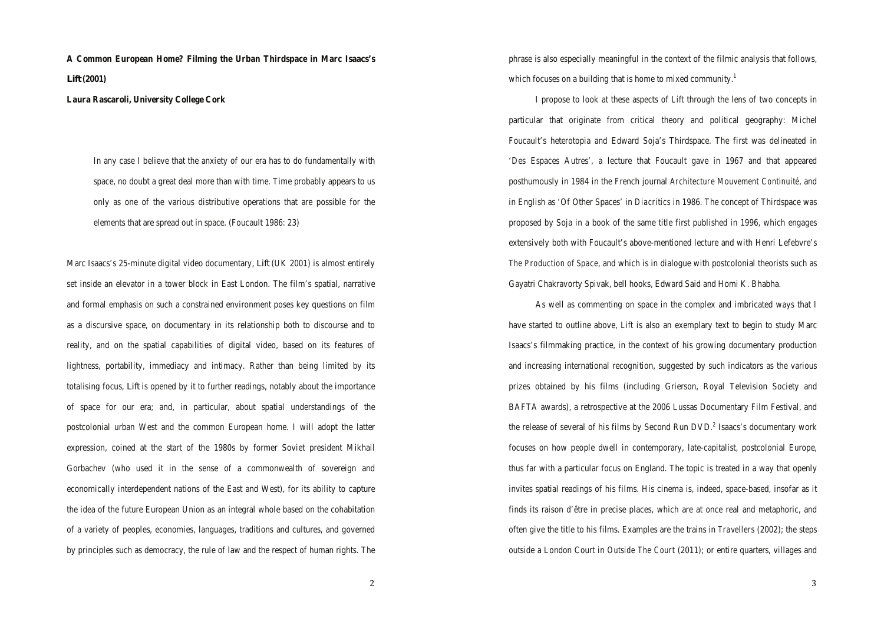**A Common European Home? Filming the Urban Thirdspace in Marc Isaacs's**  *Lift* **(2001)** 

**Laura Rascaroli, University College Cork** 

In any case I believe that the anxiety of our era has to do fundamentally with space, no doubt a great deal more than with time. Time probably appears to us only as one of the various distributive operations that are possible for the elements that are spread out in space. (Foucault 1986: 23)

phrase is also especially meaningful in the context of the filmic analysis that follows, which focuses on a building that is home to mixed community. $<sup>1</sup>$ </sup>

Marc Isaacs's 25-minute digital video documentary, *Lift* (UK 2001) is almost entirely set inside an elevator in a tower block in East London. The film's spatial, narrative and formal emphasis on such a constrained environment poses key questions on film as a discursive space, on documentary in its relationship both to discourse and to reality, and on the spatial capabilities of digital video, based on its features of lightness, portability, immediacy and intimacy. Rather than being limited by its totalising focus, *Lift* is opened by it to further readings, notably about the importance of space for our era; and, in particular, about spatial understandings of the postcolonial urban West and the common European home. I will adopt the latter expression, coined at the start of the 1980s by former Soviet president Mikhail Gorbachev (who used it in the sense of a commonwealth of sovereign and economically interdependent nations of the East and West), for its ability to capture the idea of the future European Union as an integral whole based on the cohabitation of a variety of peoples, economies, languages, traditions and cultures, and governed by principles such as democracy, the rule of law and the respect of human rights. The

3!

I propose to look at these aspects of *Lift* through the lens of two concepts in particular that originate from critical theory and political geography: Michel Foucault's heterotopia and Edward Soja's Thirdspace. The first was delineated in 'Des Espaces Autres', a lecture that Foucault gave in 1967 and that appeared posthumously in 1984 in the French journal *Architecture Mouvement Continuité*, and in English as 'Of Other Spaces' in *Diacritics* in 1986. The concept of Thirdspace was proposed by Soja in a book of the same title first published in 1996, which engages extensively both with Foucault's above-mentioned lecture and with Henri Lefebvre's *The Production of Space*, and which is in dialogue with postcolonial theorists such as Gayatri Chakravorty Spivak, bell hooks, Edward Said and Homi K. Bhabha.

As well as commenting on space in the complex and imbricated ways that I have started to outline above, *Lift* is also an exemplary text to begin to study Marc Isaacs's filmmaking practice, in the context of his growing documentary production and increasing international recognition, suggested by such indicators as the various prizes obtained by his films (including Grierson, Royal Television Society and BAFTA awards), a retrospective at the 2006 Lussas Documentary Film Festival, and the release of several of his films by Second Run  $DVD<sup>2</sup>$  Isaacs's documentary work focuses on how people dwell in contemporary, late-capitalist, postcolonial Europe, thus far with a particular focus on England. The topic is treated in a way that openly invites spatial readings of his films. His cinema is, indeed, space-based, insofar as it finds its raison d'être in precise places, which are at once real and metaphoric, and often give the title to his films. Examples are the trains in *Travellers* (2002); the steps outside a London Court in *Outside The Court* (2011); or entire quarters, villages and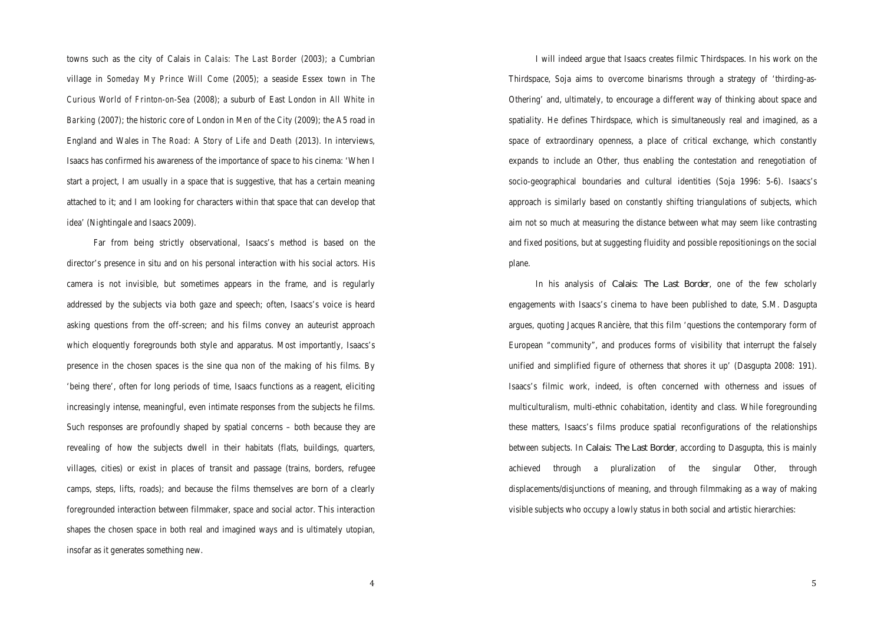towns such as the city of Calais in *Calais: The Last Border* (2003); a Cumbrian village in *Someday My Prince Will Come* (2005); a seaside Essex town in *The Curious World of Frinton-on-Sea* (2008); a suburb of East London in *All White in Barking* (2007); the historic core of London in *Men of the City* (2009); the A5 road in England and Wales in *The Road: A Story of Life and Death* (2013). In interviews, Isaacs has confirmed his awareness of the importance of space to his cinema: 'When I start a project, I am usually in a space that is suggestive, that has a certain meaning attached to it; and I am looking for characters within that space that can develop that idea' (Nightingale and Isaacs 2009).

Far from being strictly observational, Isaacs's method is based on the director's presence in situ and on his personal interaction with his social actors. His camera is not invisible, but sometimes appears in the frame, and is regularly addressed by the subjects via both gaze and speech; often, Isaacs's voice is heard asking questions from the off-screen; and his films convey an auteurist approach which eloquently foregrounds both style and apparatus. Most importantly, Isaacs's presence in the chosen spaces is the sine qua non of the making of his films. By 'being there', often for long periods of time, Isaacs functions as a reagent, eliciting increasingly intense, meaningful, even intimate responses from the subjects he films. Such responses are profoundly shaped by spatial concerns – both because they are revealing of how the subjects dwell in their habitats (flats, buildings, quarters, villages, cities) or exist in places of transit and passage (trains, borders, refugee camps, steps, lifts, roads); and because the films themselves are born of a clearly foregrounded interaction between filmmaker, space and social actor. This interaction shapes the chosen space in both real and imagined ways and is ultimately utopian, insofar as it generates something new.

5!

I will indeed argue that Isaacs creates filmic Thirdspaces. In his work on the Thirdspace, Soja aims to overcome binarisms through a strategy of 'thirding-as-Othering' and, ultimately, to encourage a different way of thinking about space and spatiality. He defines Thirdspace, which is simultaneously real and imagined, as a space of extraordinary openness, a place of critical exchange, which constantly expands to include an Other, thus enabling the contestation and renegotiation of socio-geographical boundaries and cultural identities (Soja 1996: 5-6). Isaacs's approach is similarly based on constantly shifting triangulations of subjects, which aim not so much at measuring the distance between what may seem like contrasting and fixed positions, but at suggesting fluidity and possible repositionings on the social plane.

In his analysis of *Calais: The Last Border*, one of the few scholarly engagements with Isaacs's cinema to have been published to date, S.M. Dasgupta argues, quoting Jacques Rancière, that this film 'questions the contemporary form of European "community", and produces forms of visibility that interrupt the falsely unified and simplified figure of otherness that shores it up' (Dasgupta 2008: 191). Isaacs's filmic work, indeed, is often concerned with otherness and issues of multiculturalism, multi-ethnic cohabitation, identity and class. While foregrounding these matters, Isaacs's films produce spatial reconfigurations of the relationships between subjects. In *Calais: The Last Border*, according to Dasgupta, this is mainly achieved through a pluralization of the singular Other, through displacements/disjunctions of meaning, and through filmmaking as a way of making visible subjects who occupy a lowly status in both social and artistic hierarchies: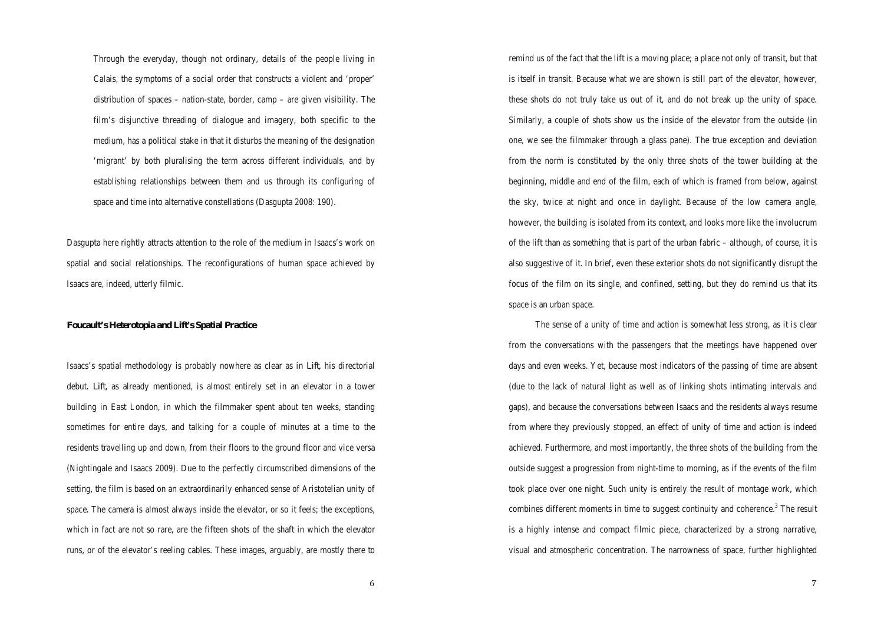Through the everyday, though not ordinary, details of the people living in Calais, the symptoms of a social order that constructs a violent and 'proper' distribution of spaces – nation-state, border, camp – are given visibility. The film's disjunctive threading of dialogue and imagery, both specific to the medium, has a political stake in that it disturbs the meaning of the designation 'migrant' by both pluralising the term across different individuals, and by establishing relationships between them and us through its configuring of space and time into alternative constellations (Dasgupta 2008: 190).

Dasgupta here rightly attracts attention to the role of the medium in Isaacs's work on spatial and social relationships. The reconfigurations of human space achieved by Isaacs are, indeed, utterly filmic.

#### **Foucault's Heterotopia and** *Lift***'s Spatial Practice**

Isaacs's spatial methodology is probably nowhere as clear as in *Lift*, his directorial debut. *Lift*, as already mentioned, is almost entirely set in an elevator in a tower building in East London, in which the filmmaker spent about ten weeks, standing sometimes for entire days, and talking for a couple of minutes at a time to the residents travelling up and down, from their floors to the ground floor and vice versa (Nightingale and Isaacs 2009). Due to the perfectly circumscribed dimensions of the setting, the film is based on an extraordinarily enhanced sense of Aristotelian unity of space. The camera is almost always inside the elevator, or so it feels; the exceptions, which in fact are not so rare, are the fifteen shots of the shaft in which the elevator runs, or of the elevator's reeling cables. These images, arguably, are mostly there to

7!

remind us of the fact that the lift is a moving place; a place not only of transit, but that is itself in transit. Because what we are shown is still part of the elevator, however, these shots do not truly take us out of it, and do not break up the unity of space. Similarly, a couple of shots show us the inside of the elevator from the outside (in one, we see the filmmaker through a glass pane). The true exception and deviation from the norm is constituted by the only three shots of the tower building at the beginning, middle and end of the film, each of which is framed from below, against the sky, twice at night and once in daylight. Because of the low camera angle, however, the building is isolated from its context, and looks more like the involucrum of the lift than as something that is part of the urban fabric – although, of course, it is also suggestive of it. In brief, even these exterior shots do not significantly disrupt the focus of the film on its single, and confined, setting, but they do remind us that its space is an urban space.

The sense of a unity of time and action is somewhat less strong, as it is clear from the conversations with the passengers that the meetings have happened over days and even weeks. Yet, because most indicators of the passing of time are absent (due to the lack of natural light as well as of linking shots intimating intervals and gaps), and because the conversations between Isaacs and the residents always resume from where they previously stopped, an effect of unity of time and action is indeed achieved. Furthermore, and most importantly, the three shots of the building from the outside suggest a progression from night-time to morning, as if the events of the film took place over one night. Such unity is entirely the result of montage work, which combines different moments in time to suggest continuity and coherence.<sup>3</sup> The result is a highly intense and compact filmic piece, characterized by a strong narrative, visual and atmospheric concentration. The narrowness of space, further highlighted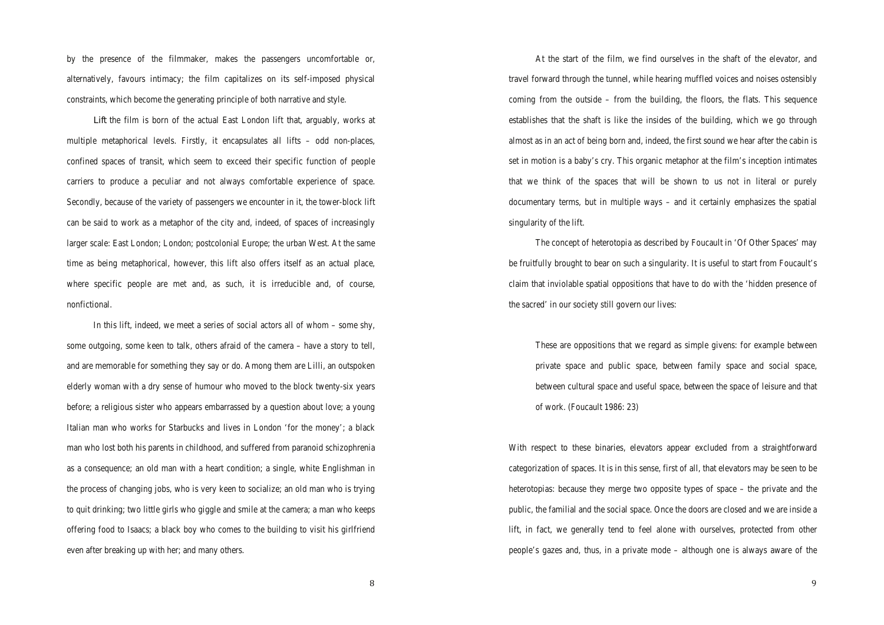by the presence of the filmmaker, makes the passengers uncomfortable or, alternatively, favours intimacy; the film capitalizes on its self-imposed physical constraints, which become the generating principle of both narrative and style.

Lift the film is born of the actual East London lift that, arguably, works at multiple metaphorical levels. Firstly, it encapsulates all lifts – odd non-places, confined spaces of transit, which seem to exceed their specific function of people carriers to produce a peculiar and not always comfortable experience of space. Secondly, because of the variety of passengers we encounter in it, the tower-block lift can be said to work as a metaphor of the city and, indeed, of spaces of increasingly larger scale: East London; London; postcolonial Europe; the urban West. At the same time as being metaphorical, however, this lift also offers itself as an actual place, where specific people are met and, as such, it is irreducible and, of course, nonfictional.

In this lift, indeed, we meet a series of social actors all of whom – some shy, some outgoing, some keen to talk, others afraid of the camera – have a story to tell, and are memorable for something they say or do. Among them are Lilli, an outspoken elderly woman with a dry sense of humour who moved to the block twenty-six years before; a religious sister who appears embarrassed by a question about love; a young Italian man who works for Starbucks and lives in London 'for the money'; a black man who lost both his parents in childhood, and suffered from paranoid schizophrenia as a consequence; an old man with a heart condition; a single, white Englishman in the process of changing jobs, who is very keen to socialize; an old man who is trying to quit drinking; two little girls who giggle and smile at the camera; a man who keeps offering food to Isaacs; a black boy who comes to the building to visit his girlfriend even after breaking up with her; and many others.

9!

At the start of the film, we find ourselves in the shaft of the elevator, and travel forward through the tunnel, while hearing muffled voices and noises ostensibly coming from the outside – from the building, the floors, the flats. This sequence establishes that the shaft is like the insides of the building, which we go through almost as in an act of being born and, indeed, the first sound we hear after the cabin is set in motion is a baby's cry. This organic metaphor at the film's inception intimates that we think of the spaces that will be shown to us not in literal or purely documentary terms, but in multiple ways – and it certainly emphasizes the spatial singularity of the lift.

 The concept of heterotopia as described by Foucault in 'Of Other Spaces' may be fruitfully brought to bear on such a singularity. It is useful to start from Foucault's claim that inviolable spatial oppositions that have to do with the 'hidden presence of the sacred' in our society still govern our lives:

These are oppositions that we regard as simple givens: for example between private space and public space, between family space and social space, between cultural space and useful space, between the space of leisure and that of work. (Foucault 1986: 23)

With respect to these binaries, elevators appear excluded from a straightforward categorization of spaces. It is in this sense, first of all, that elevators may be seen to be heterotopias: because they merge two opposite types of space – the private and the public, the familial and the social space. Once the doors are closed and we are inside a lift, in fact, we generally tend to feel alone with ourselves, protected from other people's gazes and, thus, in a private mode – although one is always aware of the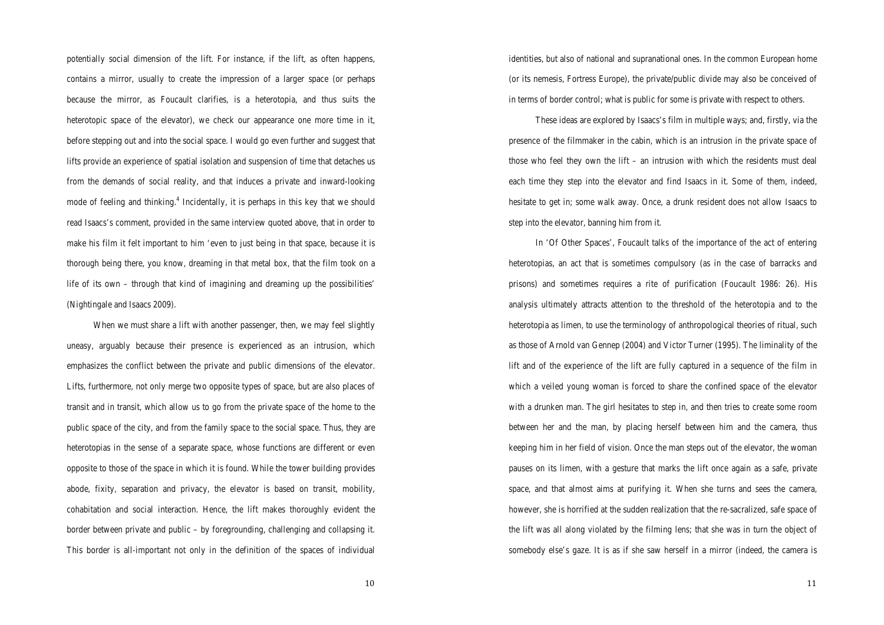potentially social dimension of the lift. For instance, if the lift, as often happens, contains a mirror, usually to create the impression of a larger space (or perhaps because the mirror, as Foucault clarifies, is a heterotopia, and thus suits the heterotopic space of the elevator), we check our appearance one more time in it, before stepping out and into the social space. I would go even further and suggest that lifts provide an experience of spatial isolation and suspension of time that detaches us from the demands of social reality, and that induces a private and inward-looking mode of feeling and thinking.<sup>4</sup> Incidentally, it is perhaps in this key that we should read Isaacs's comment, provided in the same interview quoted above, that in order to make his film it felt important to him 'even to just being in that space, because it is thorough being there, you know, dreaming in that metal box, that the film took on a life of its own – through that kind of imagining and dreaming up the possibilities' (Nightingale and Isaacs 2009).

When we must share a lift with another passenger, then, we may feel slightly uneasy, arguably because their presence is experienced as an intrusion, which emphasizes the conflict between the private and public dimensions of the elevator. Lifts, furthermore, not only merge two opposite types of space, but are also places of transit and in transit, which allow us to go from the private space of the home to the public space of the city, and from the family space to the social space. Thus, they are heterotopias in the sense of a separate space, whose functions are different or even opposite to those of the space in which it is found. While the tower building provides abode, fixity, separation and privacy, the elevator is based on transit, mobility, cohabitation and social interaction. Hence, the lift makes thoroughly evident the border between private and public – by foregrounding, challenging and collapsing it. This border is all-important not only in the definition of the spaces of individual

11!

identities, but also of national and supranational ones. In the common European home (or its nemesis, Fortress Europe), the private/public divide may also be conceived of in terms of border control; what is public for some is private with respect to others.

 These ideas are explored by Isaacs's film in multiple ways; and, firstly, via the presence of the filmmaker in the cabin, which is an intrusion in the private space of those who feel they own the lift – an intrusion with which the residents must deal each time they step into the elevator and find Isaacs in it. Some of them, indeed, hesitate to get in; some walk away. Once, a drunk resident does not allow Isaacs to step into the elevator, banning him from it.

In 'Of Other Spaces', Foucault talks of the importance of the act of entering heterotopias, an act that is sometimes compulsory (as in the case of barracks and prisons) and sometimes requires a rite of purification (Foucault 1986: 26). His analysis ultimately attracts attention to the threshold of the heterotopia and to the heterotopia as limen, to use the terminology of anthropological theories of ritual, such as those of Arnold van Gennep (2004) and Victor Turner (1995). The liminality of the lift and of the experience of the lift are fully captured in a sequence of the film in which a veiled young woman is forced to share the confined space of the elevator with a drunken man. The girl hesitates to step in, and then tries to create some room between her and the man, by placing herself between him and the camera, thus keeping him in her field of vision. Once the man steps out of the elevator, the woman pauses on its limen, with a gesture that marks the lift once again as a safe, private space, and that almost aims at purifying it. When she turns and sees the camera, however, she is horrified at the sudden realization that the re-sacralized, safe space of the lift was all along violated by the filming lens; that she was in turn the object of somebody else's gaze. It is as if she saw herself in a mirror (indeed, the camera is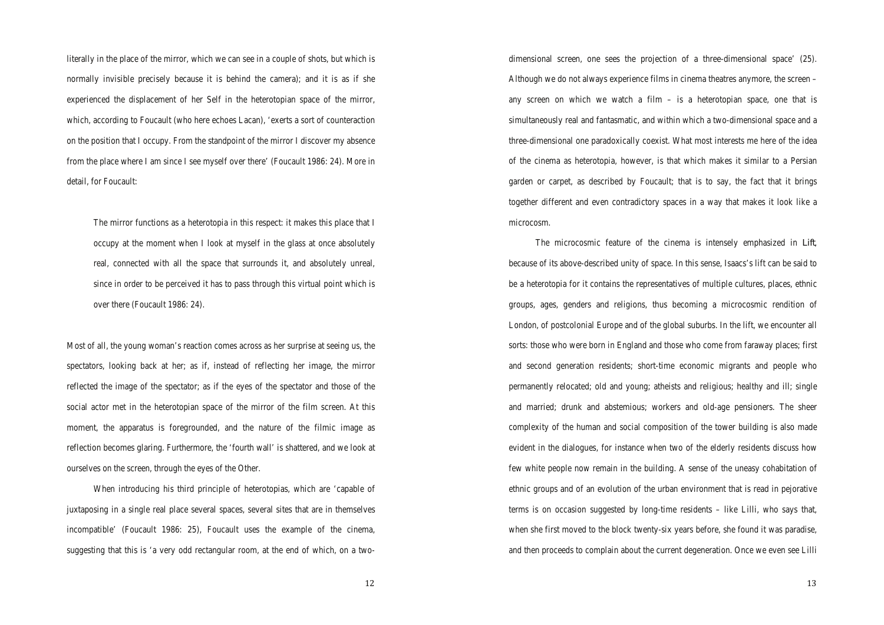literally in the place of the mirror, which we can see in a couple of shots, but which is normally invisible precisely because it is behind the camera); and it is as if she experienced the displacement of her Self in the heterotopian space of the mirror, which, according to Foucault (who here echoes Lacan), 'exerts a sort of counteraction on the position that I occupy. From the standpoint of the mirror I discover my absence from the place where I am since I see myself over there' (Foucault 1986: 24). More in detail, for Foucault:

The mirror functions as a heterotopia in this respect: it makes this place that I occupy at the moment when I look at myself in the glass at once absolutely real, connected with all the space that surrounds it, and absolutely unreal, since in order to be perceived it has to pass through this virtual point which is over there (Foucault 1986: 24).

Most of all, the young woman's reaction comes across as her surprise at seeing us, the spectators, looking back at her; as if, instead of reflecting her image, the mirror reflected the image of the spectator; as if the eyes of the spectator and those of the social actor met in the heterotopian space of the mirror of the film screen. At this moment, the apparatus is foregrounded, and the nature of the filmic image as reflection becomes glaring. Furthermore, the 'fourth wall' is shattered, and we look at ourselves on the screen, through the eyes of the Other.

When introducing his third principle of heterotopias, which are 'capable of juxtaposing in a single real place several spaces, several sites that are in themselves incompatible' (Foucault 1986: 25), Foucault uses the example of the cinema, suggesting that this is 'a very odd rectangular room, at the end of which, on a two-

13!

dimensional screen, one sees the projection of a three-dimensional space' (25). Although we do not always experience films in cinema theatres anymore, the screen – any screen on which we watch a film  $-$  is a heterotopian space, one that is simultaneously real and fantasmatic, and within which a two-dimensional space and a three-dimensional one paradoxically coexist. What most interests me here of the idea of the cinema as heterotopia, however, is that which makes it similar to a Persian garden or carpet, as described by Foucault; that is to say, the fact that it brings together different and even contradictory spaces in a way that makes it look like a microcosm.

The microcosmic feature of the cinema is intensely emphasized in *Lift*, because of its above-described unity of space. In this sense, Isaacs's lift can be said to be a heterotopia for it contains the representatives of multiple cultures, places, ethnic groups, ages, genders and religions, thus becoming a microcosmic rendition of London, of postcolonial Europe and of the global suburbs. In the lift, we encounter all sorts: those who were born in England and those who come from faraway places; first and second generation residents; short-time economic migrants and people who permanently relocated; old and young; atheists and religious; healthy and ill; single and married; drunk and abstemious; workers and old-age pensioners. The sheer complexity of the human and social composition of the tower building is also made evident in the dialogues, for instance when two of the elderly residents discuss how few white people now remain in the building. A sense of the uneasy cohabitation of ethnic groups and of an evolution of the urban environment that is read in pejorative terms is on occasion suggested by long-time residents – like Lilli, who says that, when she first moved to the block twenty-six years before, she found it was paradise, and then proceeds to complain about the current degeneration. Once we even see Lilli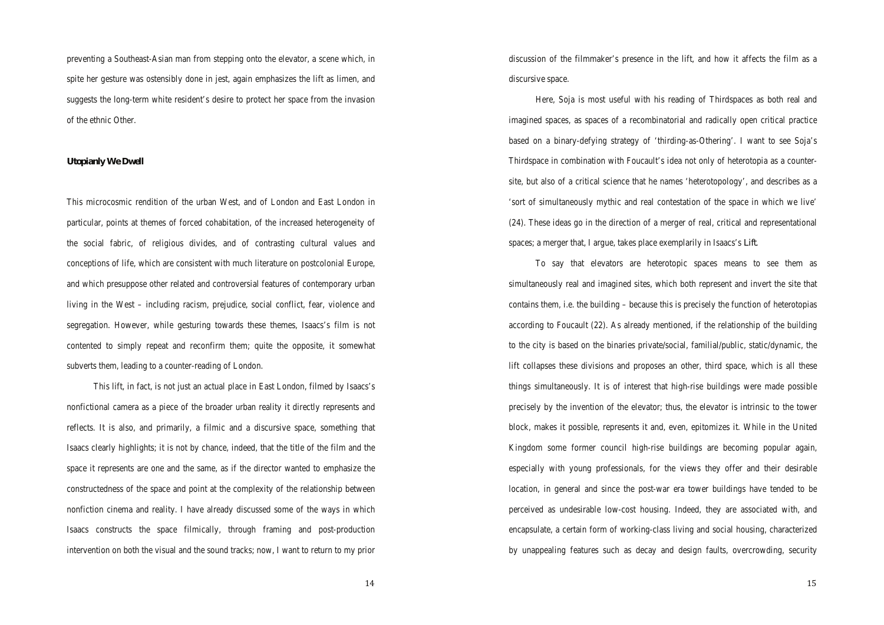preventing a Southeast-Asian man from stepping onto the elevator, a scene which, in spite her gesture was ostensibly done in jest, again emphasizes the lift as limen, and suggests the long-term white resident's desire to protect her space from the invasion of the ethnic Other.

#### **Utopianly We Dwell**

This microcosmic rendition of the urban West, and of London and East London in particular, points at themes of forced cohabitation, of the increased heterogeneity of the social fabric, of religious divides, and of contrasting cultural values and conceptions of life, which are consistent with much literature on postcolonial Europe, and which presuppose other related and controversial features of contemporary urban living in the West – including racism, prejudice, social conflict, fear, violence and segregation. However, while gesturing towards these themes, Isaacs's film is not contented to simply repeat and reconfirm them; quite the opposite, it somewhat subverts them, leading to a counter-reading of London.

 This lift, in fact, is not just an actual place in East London, filmed by Isaacs's nonfictional camera as a piece of the broader urban reality it directly represents and reflects. It is also, and primarily, a filmic and a discursive space, something that Isaacs clearly highlights; it is not by chance, indeed, that the title of the film and the space it represents are one and the same, as if the director wanted to emphasize the constructedness of the space and point at the complexity of the relationship between nonfiction cinema and reality. I have already discussed some of the ways in which Isaacs constructs the space filmically, through framing and post-production intervention on both the visual and the sound tracks; now, I want to return to my prior

15!

discussion of the filmmaker's presence in the lift, and how it affects the film as a discursive space.

 Here, Soja is most useful with his reading of Thirdspaces as both real and imagined spaces, as spaces of a recombinatorial and radically open critical practice based on a binary-defying strategy of 'thirding-as-Othering'. I want to see Soja's Thirdspace in combination with Foucault's idea not only of heterotopia as a countersite, but also of a critical science that he names 'heterotopology', and describes as a 'sort of simultaneously mythic and real contestation of the space in which we live' (24). These ideas go in the direction of a merger of real, critical and representational spaces; a merger that, I argue, takes place exemplarily in Isaacs's *Lift*.

To say that elevators are heterotopic spaces means to see them as simultaneously real and imagined sites, which both represent and invert the site that contains them, i.e. the building – because this is precisely the function of heterotopias according to Foucault (22). As already mentioned, if the relationship of the building to the city is based on the binaries private/social, familial/public, static/dynamic, the lift collapses these divisions and proposes an other, third space, which is all these things simultaneously. It is of interest that high-rise buildings were made possible precisely by the invention of the elevator; thus, the elevator is intrinsic to the tower block, makes it possible, represents it and, even, epitomizes it. While in the United Kingdom some former council high-rise buildings are becoming popular again, especially with young professionals, for the views they offer and their desirable location, in general and since the post-war era tower buildings have tended to be perceived as undesirable low-cost housing. Indeed, they are associated with, and encapsulate, a certain form of working-class living and social housing, characterized by unappealing features such as decay and design faults, overcrowding, security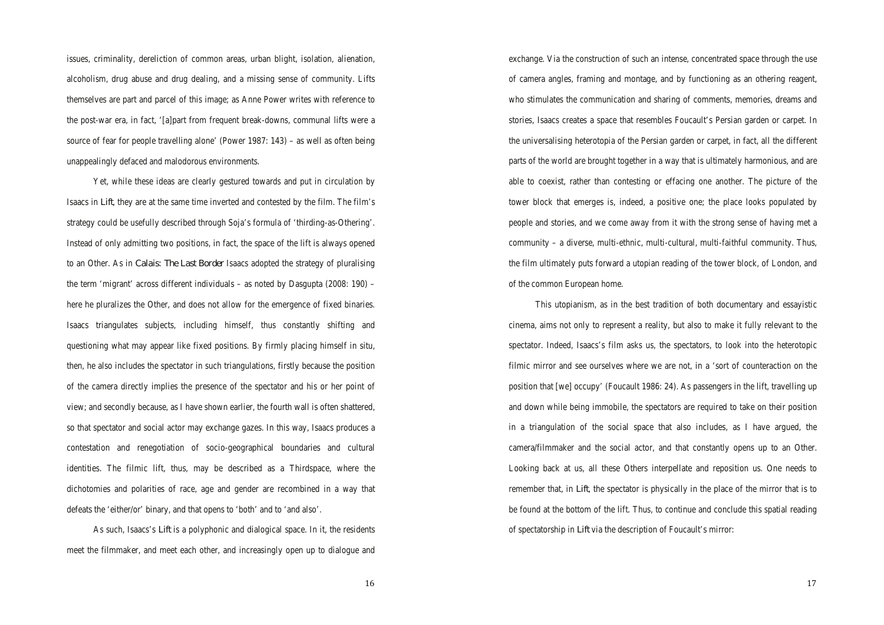issues, criminality, dereliction of common areas, urban blight, isolation, alienation, alcoholism, drug abuse and drug dealing, and a missing sense of community. Lifts themselves are part and parcel of this image; as Anne Power writes with reference to the post-war era, in fact, '[a]part from frequent break-downs, communal lifts were a source of fear for people travelling alone' (Power 1987: 143) – as well as often being unappealingly defaced and malodorous environments.

Yet, while these ideas are clearly gestured towards and put in circulation by Isaacs in *Lift*, they are at the same time inverted and contested by the film. The film's strategy could be usefully described through Soja's formula of 'thirding-as-Othering'. Instead of only admitting two positions, in fact, the space of the lift is always opened to an Other. As in *Calais: The Last Border* Isaacs adopted the strategy of pluralising the term 'migrant' across different individuals – as noted by Dasgupta (2008: 190) – here he pluralizes the Other, and does not allow for the emergence of fixed binaries. Isaacs triangulates subjects, including himself, thus constantly shifting and questioning what may appear like fixed positions. By firmly placing himself in situ, then, he also includes the spectator in such triangulations, firstly because the position of the camera directly implies the presence of the spectator and his or her point of view; and secondly because, as I have shown earlier, the fourth wall is often shattered, so that spectator and social actor may exchange gazes. In this way, Isaacs produces a contestation and renegotiation of socio-geographical boundaries and cultural identities. The filmic lift, thus, may be described as a Thirdspace, where the dichotomies and polarities of race, age and gender are recombined in a way that defeats the 'either/or' binary, and that opens to 'both' and to 'and also'.

As such, Isaacs's *Lift* is a polyphonic and dialogical space. In it, the residents meet the filmmaker, and meet each other, and increasingly open up to dialogue and

17!

exchange. Via the construction of such an intense, concentrated space through the use of camera angles, framing and montage, and by functioning as an othering reagent, who stimulates the communication and sharing of comments, memories, dreams and stories, Isaacs creates a space that resembles Foucault's Persian garden or carpet. In the universalising heterotopia of the Persian garden or carpet, in fact, all the different parts of the world are brought together in a way that is ultimately harmonious, and are able to coexist, rather than contesting or effacing one another. The picture of the tower block that emerges is, indeed, a positive one; the place looks populated by people and stories, and we come away from it with the strong sense of having met a community – a diverse, multi-ethnic, multi-cultural, multi-faithful community. Thus, the film ultimately puts forward a utopian reading of the tower block, of London, and of the common European home.

This utopianism, as in the best tradition of both documentary and essayistic cinema, aims not only to represent a reality, but also to make it fully relevant to the spectator. Indeed, Isaacs's film asks us, the spectators, to look into the heterotopic filmic mirror and see ourselves where we are not, in a 'sort of counteraction on the position that [we] occupy' (Foucault 1986: 24). As passengers in the lift, travelling up and down while being immobile, the spectators are required to take on their position in a triangulation of the social space that also includes, as I have argued, the camera/filmmaker and the social actor, and that constantly opens up to an Other. Looking back at us, all these Others interpellate and reposition us. One needs to remember that, in *Lift*, the spectator is physically in the place of the mirror that is to be found at the bottom of the lift. Thus, to continue and conclude this spatial reading of spectatorship in *Lift* via the description of Foucault's mirror: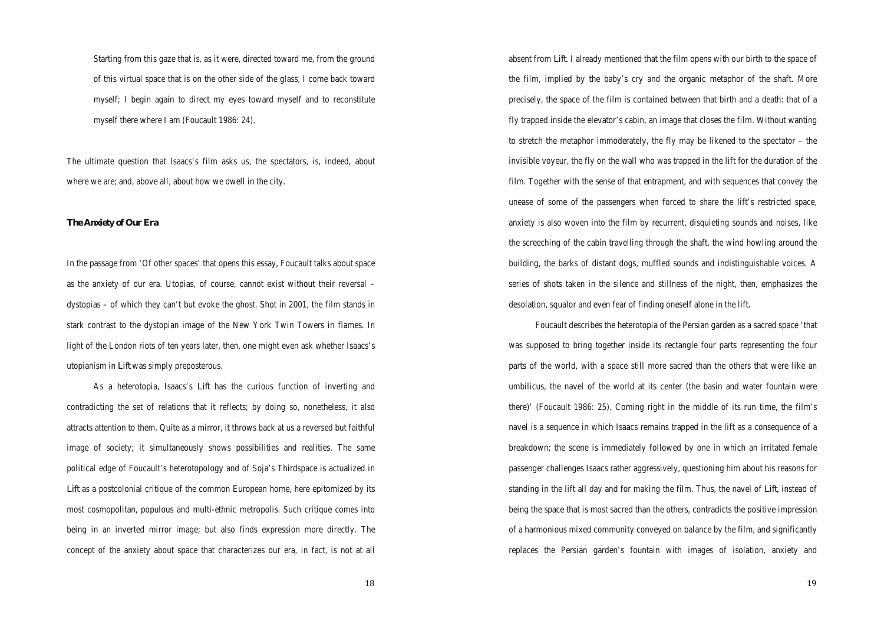Starting from this gaze that is, as it were, directed toward me, from the ground of this virtual space that is on the other side of the glass, I come back toward myself; I begin again to direct my eyes toward myself and to reconstitute myself there where I am (Foucault 1986: 24).

The ultimate question that Isaacs's film asks us, the spectators, is, indeed, about where we are; and, above all, about how we dwell in the city.

#### **The Anxiety of Our Era**

In the passage from 'Of other spaces' that opens this essay, Foucault talks about space as the anxiety of our era. Utopias, of course, cannot exist without their reversal – dystopias – of which they can't but evoke the ghost. Shot in 2001, the film stands in stark contrast to the dystopian image of the New York Twin Towers in flames. In light of the London riots of ten years later, then, one might even ask whether Isaacs's utopianism in *Lift* was simply preposterous.

As a heterotopia, Isaacs's *Lift* has the curious function of inverting and contradicting the set of relations that it reflects; by doing so, nonetheless, it also attracts attention to them. Quite as a mirror, it throws back at us a reversed but faithful image of society; it simultaneously shows possibilities and realities. The same political edge of Foucault's heterotopology and of Soja's Thirdspace is actualized in Lift as a postcolonial critique of the common European home, here epitomized by its most cosmopolitan, populous and multi-ethnic metropolis. Such critique comes into being in an inverted mirror image; but also finds expression more directly. The concept of the anxiety about space that characterizes our era, in fact, is not at all

19!

absent from *Lift*. I already mentioned that the film opens with our birth to the space of the film, implied by the baby's cry and the organic metaphor of the shaft. More precisely, the space of the film is contained between that birth and a death: that of a fly trapped inside the elevator's cabin, an image that closes the film. Without wanting to stretch the metaphor immoderately, the fly may be likened to the spectator – the invisible voyeur, the fly on the wall who was trapped in the lift for the duration of the film. Together with the sense of that entrapment, and with sequences that convey the unease of some of the passengers when forced to share the lift's restricted space, anxiety is also woven into the film by recurrent, disquieting sounds and noises, like the screeching of the cabin travelling through the shaft, the wind howling around the building, the barks of distant dogs, muffled sounds and indistinguishable voices. A series of shots taken in the silence and stillness of the night, then, emphasizes the desolation, squalor and even fear of finding oneself alone in the lift.

Foucault describes the heterotopia of the Persian garden as a sacred space 'that was supposed to bring together inside its rectangle four parts representing the four parts of the world, with a space still more sacred than the others that were like an umbilicus, the navel of the world at its center (the basin and water fountain were there)' (Foucault 1986: 25). Coming right in the middle of its run time, the film's navel is a sequence in which Isaacs remains trapped in the lift as a consequence of a breakdown; the scene is immediately followed by one in which an irritated female passenger challenges Isaacs rather aggressively, questioning him about his reasons for standing in the lift all day and for making the film. Thus, the navel of *Lift*, instead of being the space that is most sacred than the others, contradicts the positive impression of a harmonious mixed community conveyed on balance by the film, and significantly replaces the Persian garden's fountain with images of isolation, anxiety and